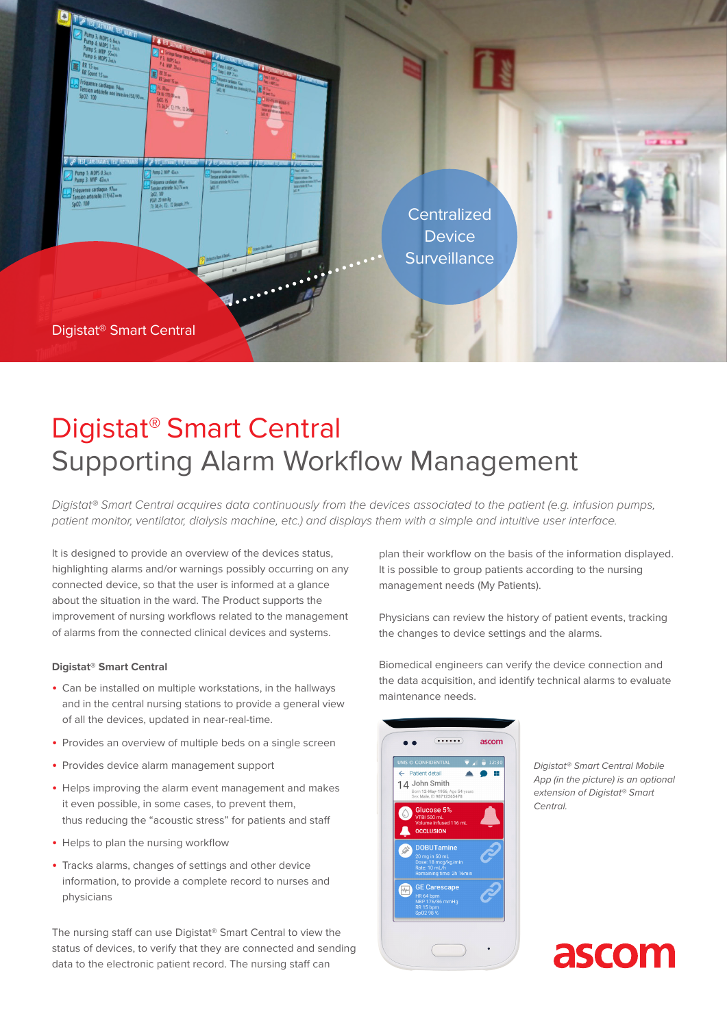

# Digistat® Smart Central Supporting Alarm Workflow Management

*Digistat® Smart Central acquires data continuously from the devices associated to the patient (e.g. infusion pumps, patient monitor, ventilator, dialysis machine, etc.) and displays them with a simple and intuitive user interface.*

It is designed to provide an overview of the devices status, highlighting alarms and/or warnings possibly occurring on any connected device, so that the user is informed at a glance about the situation in the ward. The Product supports the improvement of nursing workflows related to the management of alarms from the connected clinical devices and systems.

### **Digistat® Smart Central**

- Can be installed on multiple workstations, in the hallways and in the central nursing stations to provide a general view of all the devices, updated in near-real-time.
- Provides an overview of multiple beds on a single screen
- Provides device alarm management support
- Helps improving the alarm event management and makes it even possible, in some cases, to prevent them, thus reducing the "acoustic stress" for patients and staff
- Helps to plan the nursing workflow
- Tracks alarms, changes of settings and other device information, to provide a complete record to nurses and physicians

The nursing staff can use Digistat® Smart Central to view the status of devices, to verify that they are connected and sending data to the electronic patient record. The nursing staff can

plan their workflow on the basis of the information displayed. It is possible to group patients according to the nursing management needs (My Patients).

Physicians can review the history of patient events, tracking the changes to device settings and the alarms.

Biomedical engineers can verify the device connection and the data acquisition, and identify technical alarms to evaluate maintenance needs.



*Digistat® Smart Central Mobile App (in the picture) is an optional extension of Digistat® Smart Central.*